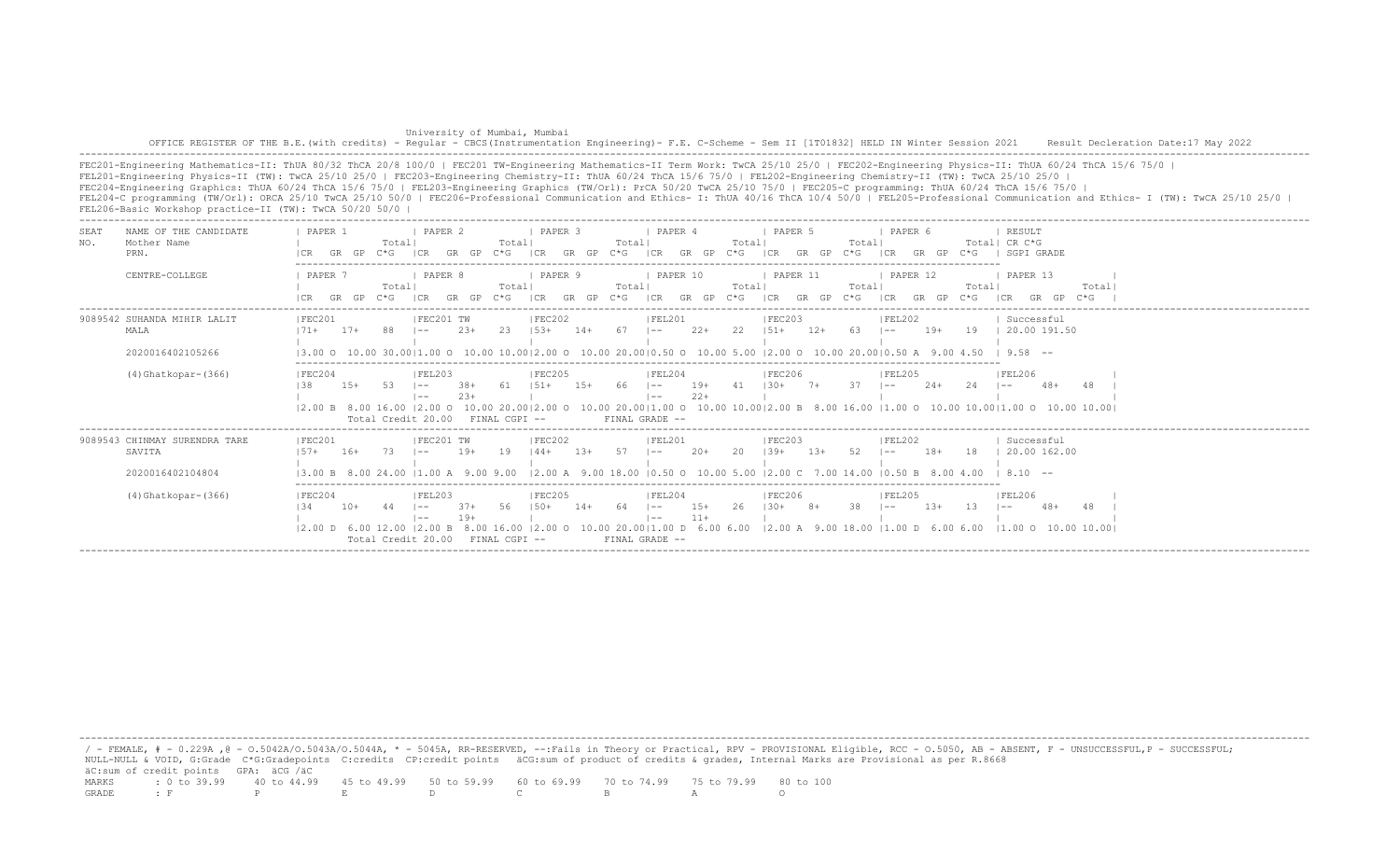| University of Mumbai, Mumbai                                                                                                                                                                 |  |
|----------------------------------------------------------------------------------------------------------------------------------------------------------------------------------------------|--|
| OFFICE REGISTER OF THE B.E. (with credits) - Reqular - CBCS (Instrumentation Engineering) - F.E. C-Scheme - Sem II [1T01832] HELD IN Winter Session 2021 Result Decleration Date:17 May 2022 |  |
|                                                                                                                                                                                              |  |

FEC201-Engineering Mathematics-II: ThUA 80/32 ThCA 20/8 100/0 | FEC201 TW-Engineering Mathematics-II Term Work: TwCA 25/10 25/0 | FEC202-Engineering Physics-II: ThUA 60/24 ThCA 15/6 75/0 | FEL201-Engineering Physics-II (TW): TwCA 25/10 25/0 | FEC203-Engineering Chemistry-II: ThUA 60/24 ThCA 15/6 75/0 | FEL202-Engineering Chemistry-II (TW): TwCA 25/10 25/0 | FEC204-Engineering Graphics: ThUA 60/24 ThCA 15/6 75/0 | FEL203-Engineering Graphics (TW/Orl): PrCA 50/20 TwCA 25/10 75/0 | FEC205-C programming: ThUA 60/24 ThCA 15/6 75/0 | FEL204-C programming (TW/Orl): ORCA 25/10 TwCA 25/10 50/0 | FEC206-Professional Communication and Ethics- I: ThUA 40/16 ThCA 10/4 50/0 | FEL205-Professional Communication and Ethics- I (TW): TwCA 25/10 25/0 | FEL206-Basic Workshop practice-II (TW): TwCA 50/20 50/0 |

| NAME OF THE CANDIDATE<br>SEAT<br>NO.<br>Mother Name<br>PRN.                                     | PAPER 2<br>PAPER 4<br>PAPER 6<br>PAPER 1<br>I PAPER 3<br>PAPER 5<br>RESULT<br>Total  CR C*G<br>Total <br>Total<br>Total <br>Total<br>Total<br>GP<br>SGPI GRADE<br>I CR<br>$C*G$<br>GR<br>こ*に<br>`* ና<br>ገ* ና                                                                                                                                                                                                                                                                                                              |
|-------------------------------------------------------------------------------------------------|---------------------------------------------------------------------------------------------------------------------------------------------------------------------------------------------------------------------------------------------------------------------------------------------------------------------------------------------------------------------------------------------------------------------------------------------------------------------------------------------------------------------------|
| CENTRE-COLLEGE                                                                                  | PAPER 7<br>PAPER 8<br><b>I PAPER 10</b><br>PAPER 12<br>  PAPER 13<br>I PAPER 9<br><i>FAPER</i> 11<br>Total<br>Total<br>Total<br>Total<br>Total <br>Total<br>Total<br>GP<br>GP<br>GP<br>GP<br>GR<br>GP<br>$C * G$<br>GR.<br>I CR<br>ICR<br>GR.<br>$C * G$<br>GP<br>$C * G$<br>$C * G$<br>ICR<br>C*G -<br>GR<br>$C * G$<br>ICR<br>GR<br>$C*G$<br>GR.<br>ICR                                                                                                                                                                 |
| ------------------------------------<br>9089542 SUHANDA MIHIR LALIT<br>MALA<br>2020016402105266 | IFEC202<br> FEC203<br>IFEC201<br>IFEC201 TW<br> FEL201<br>IFEL202<br>Successful<br>$17+$<br>$2.3+$<br>23<br>67<br>$22+$<br>22<br>$12+$<br>$19+$<br>19<br>20.00 191.50<br>$1.5.3+$<br>$14+$<br>$151+$<br>-63<br>$171 +$<br>$- -$<br>$- -$<br>l ——<br>30.0011.00 0 10.00 10.0012.00 0 10.00 20.0010.50 0 10.00 5.00 12.00 0 10.00 20.0010.50 A<br>$958 - -$<br>$13.00 \circ 10.00$                                                                                                                                          |
| $(4)$ Ghatkopar- $(366)$                                                                        | FEC204<br>IFEL203<br>IFEC205<br> FEL204<br><b>IFEC206</b><br><b>IFEL205</b><br>IFEL206<br>$19+$<br>41<br>37<br>24<br>61<br>$15+$<br>66<br>$1.30+$<br>$7+$<br>$2.4+$<br>138<br>$15+$<br>-53<br>$.38+$<br>$1.51 +$<br>$- -$<br>$1 - -$<br>l ——<br>$- -$<br>$22+$<br>$23+$<br>$1 - -$<br>$- -$<br>10.00 20.00   1.00 0 10.00 10.00   2.00 B 8.00 16.00   1.00 0 10.00 10.00   1.00 0 10.00 10.00  <br>$12.00 \text{ B}$ 8.00 16.00 12.00 0<br>10.0020.001<br>: 00 O<br>Total Credit 20.00<br>FINAL CGPI --<br>FINAL GRADE -- |
| 9089543 CHINMAY SURENDRA TARE<br>SAVITA<br>2020016402104804                                     | FEC201 TW<br> FEC202<br> FEC201<br> FEL201<br> FEC203<br> FEL202<br>Successful<br>19<br>57<br>52<br>$18+$<br>18<br>20.00 162.00<br>73<br>$19+$<br>$20+$<br>20<br>$1.3+$<br>$1.57+$<br>$16+$<br>$144+$<br>$139+$<br>$\vert - -$<br>$1.3+$<br>$1 - -$<br>$1 - -$<br>$18.10 - -$<br>12.00 A 9.00 18.00 10.50 O 10.00 5.00 12.00 C 7.00 14.00 10.50 B 8.00 4.00<br>-900<br><b>B</b><br>-9.00                                                                                                                                  |
| $(4) Ghatkopar-(366)$                                                                           | FEC204<br> FEL203<br> FEC205<br> FEL204<br> FEC206<br>IFEL205<br> FEL206<br>38<br>$15+$<br>$13+$<br>48<br>64<br>26<br>$130+$<br>13<br>$37+$<br>$150+$<br>$10+$<br>$8+$<br>134<br>$\vert - -$<br>14+<br>$1 - -$<br>$- -$<br>$11+$<br>$19+$<br>$1 - -$<br>$\sim$ $-$<br>$12.00$ O $10.00$ $20.0011.00$ D $6.00$ $6.00$ $12.00$ A $9.00$ $18.00$ $11.00$ D $6.00$ $6.00$<br>$12.00$ D<br>$11.00$ O $10.00$ 10.001<br>6.00<br>12.00R<br>8001600<br>Total Credit 20.00<br>FINAL GRADE --<br>FINAL CGPI --                      |

 / - FEMALE, # - 0.229A ,@ - O.5042A/O.5043A/O.5044A, \* - 5045A, RR-RESERVED, --:Fails in Theory or Practical, RPV - PROVISIONAL Eligible, RCC - O.5050, AB - ABSENT, F - UNSUCCESSFUL,P - SUCCESSFUL; NULL-NULL & VOID, G:Grade C\*G:Gradepoints C:credits CP:credit points äCG:sum of product of credits & grades, Internal Marks are Provisional as per R.8668 äC:sum of credit points GPA: äCG /äC MARKS : 0 to 39.99 40 to 44.99 45 to 49.99 50 to 59.99 60 to 69.99 70 to 74.99 75 to 79.99 80 to 100<br>GRADE: F P E D C B A O GRADE : F P E D C B A O

-------------------------------------------------------------------------------------------------------------------------------------------------------------------------------------------------------------------